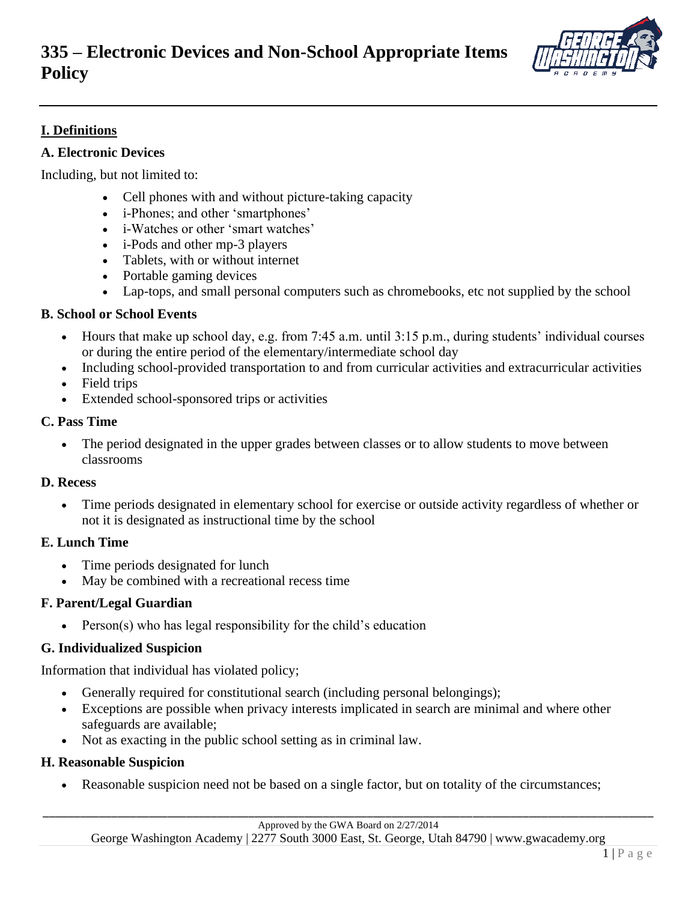

# **I. Definitions**

### **A. Electronic Devices**

Including, but not limited to:

- Cell phones with and without picture-taking capacity
- i-Phones; and other 'smartphones'
- i-Watches or other 'smart watches'
- i-Pods and other mp-3 players
- Tablets, with or without internet
- Portable gaming devices
- Lap-tops, and small personal computers such as chromebooks, etc not supplied by the school

### **B. School or School Events**

- Hours that make up school day, e.g. from 7:45 a.m. until 3:15 p.m., during students' individual courses or during the entire period of the elementary/intermediate school day
- Including school-provided transportation to and from curricular activities and extracurricular activities
- Field trips
- Extended school-sponsored trips or activities

### **C. Pass Time**

The period designated in the upper grades between classes or to allow students to move between classrooms

#### **D. Recess**

• Time periods designated in elementary school for exercise or outside activity regardless of whether or not it is designated as instructional time by the school

#### **E. Lunch Time**

- Time periods designated for lunch
- May be combined with a recreational recess time

#### **F. Parent/Legal Guardian**

• Person(s) who has legal responsibility for the child's education

## **G. Individualized Suspicion**

Information that individual has violated policy;

- Generally required for constitutional search (including personal belongings);
- Exceptions are possible when privacy interests implicated in search are minimal and where other safeguards are available;
- Not as exacting in the public school setting as in criminal law.

#### **H. Reasonable Suspicion**

• Reasonable suspicion need not be based on a single factor, but on totality of the circumstances;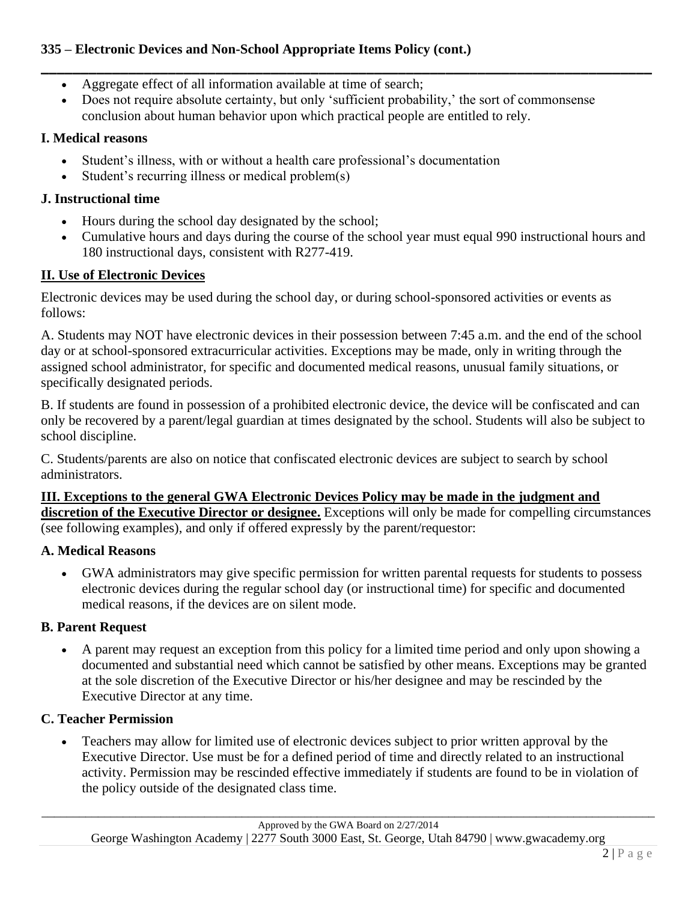## **335 – Electronic Devices and Non-School Appropriate Items Policy (cont.)**

- Aggregate effect of all information available at time of search;
- Does not require absolute certainty, but only 'sufficient probability,' the sort of commonsense conclusion about human behavior upon which practical people are entitled to rely.

**\_\_\_\_\_\_\_\_\_\_\_\_\_\_\_\_\_\_\_\_\_\_\_\_\_\_\_\_\_\_\_\_\_\_\_\_\_\_\_\_\_\_\_\_\_\_\_\_\_\_\_\_\_\_\_\_\_\_\_\_\_\_\_\_\_\_\_\_\_\_\_\_\_\_\_\_\_**

## **I. Medical reasons**

- Student's illness, with or without a health care professional's documentation
- Student's recurring illness or medical problem(s)

### **J. Instructional time**

- Hours during the school day designated by the school;
- Cumulative hours and days during the course of the school year must equal 990 instructional hours and 180 instructional days, consistent with R277-419.

## **II. Use of Electronic Devices**

Electronic devices may be used during the school day, or during school-sponsored activities or events as follows:

A. Students may NOT have electronic devices in their possession between 7:45 a.m. and the end of the school day or at school-sponsored extracurricular activities. Exceptions may be made, only in writing through the assigned school administrator, for specific and documented medical reasons, unusual family situations, or specifically designated periods.

B. If students are found in possession of a prohibited electronic device, the device will be confiscated and can only be recovered by a parent/legal guardian at times designated by the school. Students will also be subject to school discipline.

C. Students/parents are also on notice that confiscated electronic devices are subject to search by school administrators.

**III. Exceptions to the general GWA Electronic Devices Policy may be made in the judgment and discretion of the Executive Director or designee.** Exceptions will only be made for compelling circumstances (see following examples), and only if offered expressly by the parent/requestor:

## **A. Medical Reasons**

• GWA administrators may give specific permission for written parental requests for students to possess electronic devices during the regular school day (or instructional time) for specific and documented medical reasons, if the devices are on silent mode.

## **B. Parent Request**

• A parent may request an exception from this policy for a limited time period and only upon showing a documented and substantial need which cannot be satisfied by other means. Exceptions may be granted at the sole discretion of the Executive Director or his/her designee and may be rescinded by the Executive Director at any time.

## **C. Teacher Permission**

• Teachers may allow for limited use of electronic devices subject to prior written approval by the Executive Director. Use must be for a defined period of time and directly related to an instructional activity. Permission may be rescinded effective immediately if students are found to be in violation of the policy outside of the designated class time.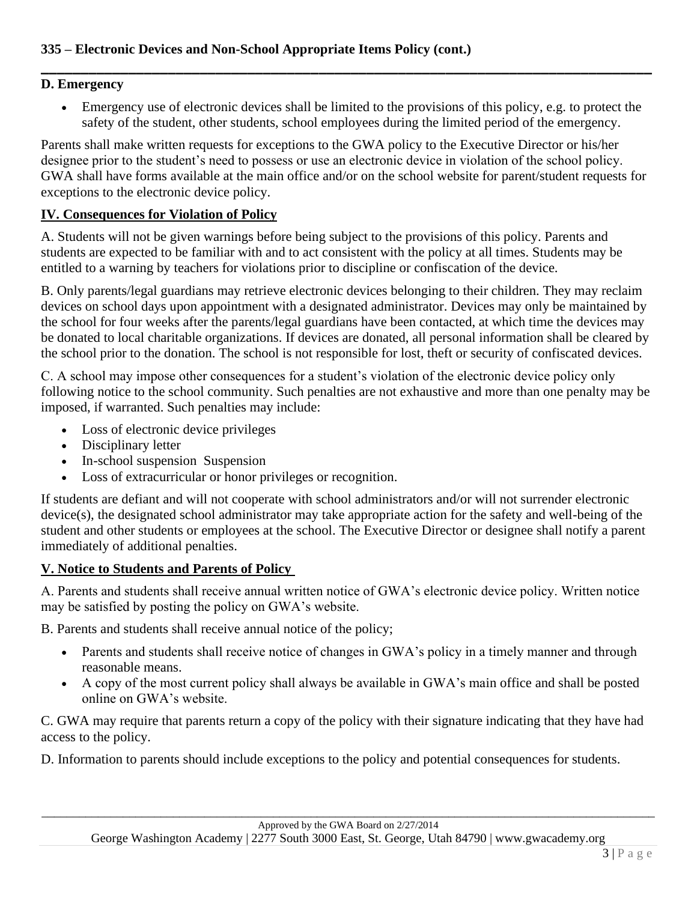#### **D. Emergency**

Emergency use of electronic devices shall be limited to the provisions of this policy, e.g. to protect the safety of the student, other students, school employees during the limited period of the emergency.

**\_\_\_\_\_\_\_\_\_\_\_\_\_\_\_\_\_\_\_\_\_\_\_\_\_\_\_\_\_\_\_\_\_\_\_\_\_\_\_\_\_\_\_\_\_\_\_\_\_\_\_\_\_\_\_\_\_\_\_\_\_\_\_\_\_\_\_\_\_\_\_\_\_\_\_\_\_**

Parents shall make written requests for exceptions to the GWA policy to the Executive Director or his/her designee prior to the student's need to possess or use an electronic device in violation of the school policy. GWA shall have forms available at the main office and/or on the school website for parent/student requests for exceptions to the electronic device policy.

### **IV. Consequences for Violation of Policy**

A. Students will not be given warnings before being subject to the provisions of this policy. Parents and students are expected to be familiar with and to act consistent with the policy at all times. Students may be entitled to a warning by teachers for violations prior to discipline or confiscation of the device.

B. Only parents/legal guardians may retrieve electronic devices belonging to their children. They may reclaim devices on school days upon appointment with a designated administrator. Devices may only be maintained by the school for four weeks after the parents/legal guardians have been contacted, at which time the devices may be donated to local charitable organizations. If devices are donated, all personal information shall be cleared by the school prior to the donation. The school is not responsible for lost, theft or security of confiscated devices.

C. A school may impose other consequences for a student's violation of the electronic device policy only following notice to the school community. Such penalties are not exhaustive and more than one penalty may be imposed, if warranted. Such penalties may include:

- Loss of electronic device privileges
- Disciplinary letter
- In-school suspension Suspension
- Loss of extracurricular or honor privileges or recognition.

If students are defiant and will not cooperate with school administrators and/or will not surrender electronic device(s), the designated school administrator may take appropriate action for the safety and well-being of the student and other students or employees at the school. The Executive Director or designee shall notify a parent immediately of additional penalties.

## **V. Notice to Students and Parents of Policy**

A. Parents and students shall receive annual written notice of GWA's electronic device policy. Written notice may be satisfied by posting the policy on GWA's website.

B. Parents and students shall receive annual notice of the policy;

- Parents and students shall receive notice of changes in GWA's policy in a timely manner and through reasonable means.
- A copy of the most current policy shall always be available in GWA's main office and shall be posted online on GWA's website.

C. GWA may require that parents return a copy of the policy with their signature indicating that they have had access to the policy.

D. Information to parents should include exceptions to the policy and potential consequences for students.

\_\_\_\_\_\_\_\_\_\_\_\_\_\_\_\_\_\_\_\_\_\_\_\_\_\_\_\_\_\_\_\_\_\_\_\_\_\_\_\_\_\_\_\_\_\_\_\_\_\_\_\_\_\_\_\_\_\_\_\_\_\_\_\_\_\_\_\_\_\_\_\_\_\_\_\_\_\_\_\_\_\_\_\_\_\_\_\_\_\_\_\_\_\_\_\_\_\_